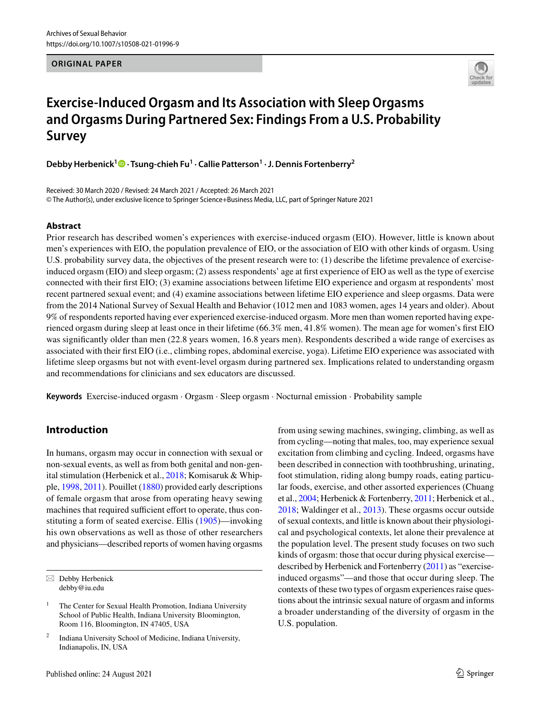#### **ORIGINAL PAPER**



# **Exercise‑Induced Orgasm and Its Association with Sleep Orgasms and Orgasms During Partnered Sex: Findings From a U.S. Probability Survey**

**Debby Herbenick<sup>1</sup>  [·](http://orcid.org/0000-0002-0352-2248) Tsung‑chieh Fu<sup>1</sup> · Callie Patterson<sup>1</sup> · J. Dennis Fortenberry<sup>2</sup>**

Received: 30 March 2020 / Revised: 24 March 2021 / Accepted: 26 March 2021 © The Author(s), under exclusive licence to Springer Science+Business Media, LLC, part of Springer Nature 2021

### **Abstract**

Prior research has described women's experiences with exercise-induced orgasm (EIO). However, little is known about men's experiences with EIO, the population prevalence of EIO, or the association of EIO with other kinds of orgasm. Using U.S. probability survey data, the objectives of the present research were to: (1) describe the lifetime prevalence of exerciseinduced orgasm (EIO) and sleep orgasm; (2) assess respondents' age at first experience of EIO as well as the type of exercise connected with their first EIO; (3) examine associations between lifetime EIO experience and orgasm at respondents' most recent partnered sexual event; and (4) examine associations between lifetime EIO experience and sleep orgasms. Data were from the 2014 National Survey of Sexual Health and Behavior (1012 men and 1083 women, ages 14 years and older). About 9% of respondents reported having ever experienced exercise-induced orgasm. More men than women reported having experienced orgasm during sleep at least once in their lifetime (66.3% men, 41.8% women). The mean age for women's first EIO was significantly older than men (22.8 years women, 16.8 years men). Respondents described a wide range of exercises as associated with their first EIO (i.e., climbing ropes, abdominal exercise, yoga). Lifetime EIO experience was associated with lifetime sleep orgasms but not with event-level orgasm during partnered sex. Implications related to understanding orgasm and recommendations for clinicians and sex educators are discussed.

**Keywords** Exercise-induced orgasm · Orgasm · Sleep orgasm · Nocturnal emission · Probability sample

# **Introduction**

In humans, orgasm may occur in connection with sexual or non-sexual events, as well as from both genital and non-genital stimulation (Herbenick et al., [2018;](#page-9-0) Komisaruk & Whipple, [1998,](#page-9-1) [2011](#page-9-2)). Pouillet [\(1880](#page-9-3)) provided early descriptions of female orgasm that arose from operating heavy sewing machines that required sufficient effort to operate, thus constituting a form of seated exercise. Ellis ([1905\)](#page-8-0)—invoking his own observations as well as those of other researchers and physicians—described reports of women having orgasms

from using sewing machines, swinging, climbing, as well as from cycling—noting that males, too, may experience sexual excitation from climbing and cycling. Indeed, orgasms have been described in connection with toothbrushing, urinating, foot stimulation, riding along bumpy roads, eating particular foods, exercise, and other assorted experiences (Chuang et al., [2004;](#page-8-1) Herbenick & Fortenberry, [2011](#page-9-4); Herbenick et al., [2018](#page-9-0); Waldinger et al., [2013](#page-9-5)). These orgasms occur outside of sexual contexts, and little is known about their physiological and psychological contexts, let alone their prevalence at the population level. The present study focuses on two such kinds of orgasm: those that occur during physical exercise described by Herbenick and Fortenberry [\(2011](#page-9-4)) as "exerciseinduced orgasms"—and those that occur during sleep. The contexts of these two types of orgasm experiences raise questions about the intrinsic sexual nature of orgasm and informs a broader understanding of the diversity of orgasm in the U.S. population.

 $\boxtimes$  Debby Herbenick debby@iu.edu

<sup>1</sup> The Center for Sexual Health Promotion, Indiana University School of Public Health, Indiana University Bloomington, Room 116, Bloomington, IN 47405, USA

<sup>2</sup> Indiana University School of Medicine, Indiana University, Indianapolis, IN, USA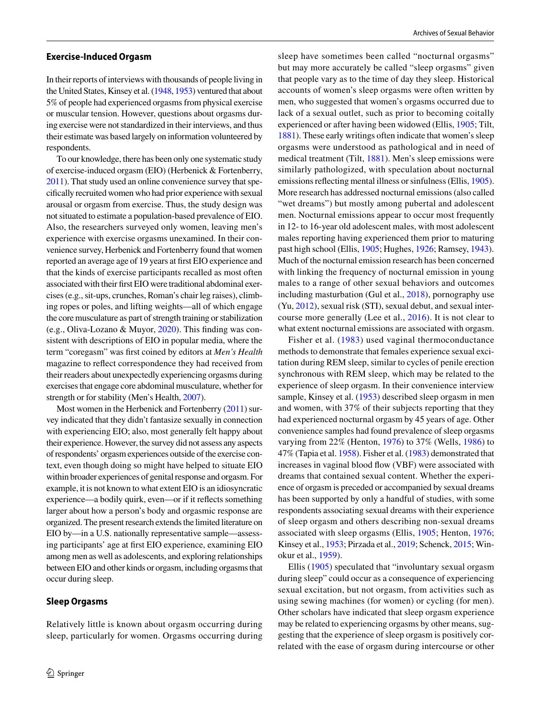#### **Exercise‑Induced Orgasm**

In their reports of interviews with thousands of people living in the United States, Kinsey et al. ([1948,](#page-9-6) [1953](#page-9-7)) ventured that about 5% of people had experienced orgasms from physical exercise or muscular tension. However, questions about orgasms during exercise were not standardized in their interviews, and thus their estimate was based largely on information volunteered by respondents.

To our knowledge, there has been only one systematic study of exercise-induced orgasm (EIO) (Herbenick & Fortenberry, [2011\)](#page-9-4). That study used an online convenience survey that specifically recruited women who had prior experience with sexual arousal or orgasm from exercise. Thus, the study design was not situated to estimate a population-based prevalence of EIO. Also, the researchers surveyed only women, leaving men's experience with exercise orgasms unexamined. In their convenience survey, Herbenick and Fortenberry found that women reported an average age of 19 years at first EIO experience and that the kinds of exercise participants recalled as most often associated with their first EIO were traditional abdominal exercises (e.g., sit-ups, crunches, Roman's chair leg raises), climbing ropes or poles, and lifting weights—all of which engage the core musculature as part of strength training or stabilization (e.g., Oliva-Lozano & Muyor, [2020](#page-9-8)). This finding was consistent with descriptions of EIO in popular media, where the term "coregasm" was first coined by editors at *Men's Health* magazine to reflect correspondence they had received from their readers about unexpectedly experiencing orgasms during exercises that engage core abdominal musculature, whether for strength or for stability (Men's Health, [2007](#page-9-9)).

Most women in the Herbenick and Fortenberry [\(2011\)](#page-9-4) survey indicated that they didn't fantasize sexually in connection with experiencing EIO; also, most generally felt happy about their experience. However, the survey did not assess any aspects of respondents' orgasm experiences outside of the exercise context, even though doing so might have helped to situate EIO within broader experiences of genital response and orgasm. For example, it is not known to what extent EIO is an idiosyncratic experience—a bodily quirk, even—or if it reflects something larger about how a person's body and orgasmic response are organized. The present research extends the limited literature on EIO by—in a U.S. nationally representative sample—assessing participants' age at first EIO experience, examining EIO among men as well as adolescents, and exploring relationships between EIO and other kinds or orgasm, including orgasms that occur during sleep.

#### **Sleep Orgasms**

Relatively little is known about orgasm occurring during sleep, particularly for women. Orgasms occurring during sleep have sometimes been called "nocturnal orgasms" but may more accurately be called "sleep orgasms" given that people vary as to the time of day they sleep. Historical accounts of women's sleep orgasms were often written by men, who suggested that women's orgasms occurred due to lack of a sexual outlet, such as prior to becoming coitally experienced or after having been widowed (Ellis, [1905;](#page-8-0) Tilt, [1881\)](#page-9-10). These early writings often indicate that women's sleep orgasms were understood as pathological and in need of medical treatment (Tilt, [1881\)](#page-9-10). Men's sleep emissions were similarly pathologized, with speculation about nocturnal emissions reflecting mental illness or sinfulness (Ellis, [1905](#page-8-0)). More research has addressed nocturnal emissions (also called "wet dreams") but mostly among pubertal and adolescent men. Nocturnal emissions appear to occur most frequently in 12- to 16-year old adolescent males, with most adolescent males reporting having experienced them prior to maturing past high school (Ellis, [1905;](#page-8-0) Hughes, [1926;](#page-9-11) Ramsey, [1943](#page-9-12)). Much of the nocturnal emission research has been concerned with linking the frequency of nocturnal emission in young males to a range of other sexual behaviors and outcomes including masturbation (Gul et al., [2018](#page-8-2)), pornography use (Yu, [2012\)](#page-9-13), sexual risk (STI), sexual debut, and sexual intercourse more generally (Lee et al., [2016\)](#page-9-14). It is not clear to what extent nocturnal emissions are associated with orgasm.

Fisher et al. [\(1983\)](#page-8-3) used vaginal thermoconductance methods to demonstrate that females experience sexual excitation during REM sleep, similar to cycles of penile erection synchronous with REM sleep, which may be related to the experience of sleep orgasm. In their convenience interview sample, Kinsey et al. [\(1953](#page-9-7)) described sleep orgasm in men and women, with 37% of their subjects reporting that they had experienced nocturnal orgasm by 45 years of age. Other convenience samples had found prevalence of sleep orgasms varying from 22% (Henton, [1976\)](#page-9-15) to 37% (Wells, [1986\)](#page-9-16) to 47% (Tapia et al. [1958](#page-9-17)). Fisher et al. ([1983](#page-8-3)) demonstrated that increases in vaginal blood flow (VBF) were associated with dreams that contained sexual content. Whether the experience of orgasm is preceded or accompanied by sexual dreams has been supported by only a handful of studies, with some respondents associating sexual dreams with their experience of sleep orgasm and others describing non-sexual dreams associated with sleep orgasms (Ellis, [1905](#page-8-0); Henton, [1976](#page-9-15); Kinsey et al., [1953;](#page-9-7) Pirzada et al., [2019](#page-9-18); Schenck, [2015](#page-9-19); Winokur et al., [1959](#page-9-20)).

Ellis [\(1905\)](#page-8-0) speculated that "involuntary sexual orgasm during sleep" could occur as a consequence of experiencing sexual excitation, but not orgasm, from activities such as using sewing machines (for women) or cycling (for men). Other scholars have indicated that sleep orgasm experience may be related to experiencing orgasms by other means, suggesting that the experience of sleep orgasm is positively correlated with the ease of orgasm during intercourse or other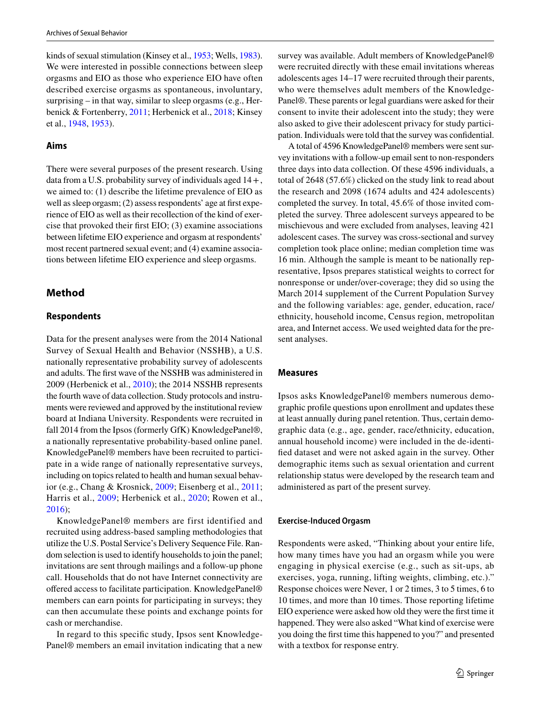kinds of sexual stimulation (Kinsey et al., [1953](#page-9-7); Wells, [1983](#page-9-21)). We were interested in possible connections between sleep orgasms and EIO as those who experience EIO have often described exercise orgasms as spontaneous, involuntary, surprising – in that way, similar to sleep orgasms (e.g., Herbenick & Fortenberry, [2011;](#page-9-4) Herbenick et al., [2018;](#page-9-0) Kinsey et al., [1948](#page-9-6), [1953](#page-9-7)).

### **Aims**

There were several purposes of the present research. Using data from a U.S. probability survey of individuals aged 14 + , we aimed to: (1) describe the lifetime prevalence of EIO as well as sleep orgasm; (2) assess respondents' age at first experience of EIO as well as their recollection of the kind of exercise that provoked their first EIO; (3) examine associations between lifetime EIO experience and orgasm at respondents' most recent partnered sexual event; and (4) examine associations between lifetime EIO experience and sleep orgasms.

# **Method**

### **Respondents**

Data for the present analyses were from the 2014 National Survey of Sexual Health and Behavior (NSSHB), a U.S. nationally representative probability survey of adolescents and adults. The first wave of the NSSHB was administered in 2009 (Herbenick et al., [2010\)](#page-9-22); the 2014 NSSHB represents the fourth wave of data collection. Study protocols and instruments were reviewed and approved by the institutional review board at Indiana University. Respondents were recruited in fall 2014 from the Ipsos (formerly GfK) KnowledgePanel®, a nationally representative probability-based online panel. KnowledgePanel® members have been recruited to participate in a wide range of nationally representative surveys, including on topics related to health and human sexual behavior (e.g., Chang & Krosnick, [2009;](#page-8-4) Eisenberg et al., [2011](#page-8-5); Harris et al., [2009](#page-9-23); Herbenick et al., [2020](#page-9-24); Rowen et al., [2016](#page-9-25));

KnowledgePanel® members are first identified and recruited using address-based sampling methodologies that utilize the U.S. Postal Service's Delivery Sequence File. Random selection is used to identify households to join the panel; invitations are sent through mailings and a follow-up phone call. Households that do not have Internet connectivity are offered access to facilitate participation. KnowledgePanel® members can earn points for participating in surveys; they can then accumulate these points and exchange points for cash or merchandise.

In regard to this specific study, Ipsos sent Knowledge-Panel® members an email invitation indicating that a new survey was available. Adult members of KnowledgePanel® were recruited directly with these email invitations whereas adolescents ages 14–17 were recruited through their parents, who were themselves adult members of the Knowledge-Panel®. These parents or legal guardians were asked for their consent to invite their adolescent into the study; they were also asked to give their adolescent privacy for study participation. Individuals were told that the survey was confidential.

A total of 4596 KnowledgePanel® members were sent survey invitations with a follow-up email sent to non-responders three days into data collection. Of these 4596 individuals, a total of 2648 (57.6%) clicked on the study link to read about the research and 2098 (1674 adults and 424 adolescents) completed the survey. In total, 45.6% of those invited completed the survey. Three adolescent surveys appeared to be mischievous and were excluded from analyses, leaving 421 adolescent cases. The survey was cross-sectional and survey completion took place online; median completion time was 16 min. Although the sample is meant to be nationally representative, Ipsos prepares statistical weights to correct for nonresponse or under/over-coverage; they did so using the March 2014 supplement of the Current Population Survey and the following variables: age, gender, education, race/ ethnicity, household income, Census region, metropolitan area, and Internet access. We used weighted data for the present analyses.

#### **Measures**

Ipsos asks KnowledgePanel® members numerous demographic profile questions upon enrollment and updates these at least annually during panel retention. Thus, certain demographic data (e.g., age, gender, race/ethnicity, education, annual household income) were included in the de-identified dataset and were not asked again in the survey. Other demographic items such as sexual orientation and current relationship status were developed by the research team and administered as part of the present survey.

#### **Exercise‑Induced Orgasm**

Respondents were asked, "Thinking about your entire life, how many times have you had an orgasm while you were engaging in physical exercise (e.g., such as sit-ups, ab exercises, yoga, running, lifting weights, climbing, etc.)." Response choices were Never, 1 or 2 times, 3 to 5 times, 6 to 10 times, and more than 10 times. Those reporting lifetime EIO experience were asked how old they were the first time it happened. They were also asked "What kind of exercise were you doing the first time this happened to you?" and presented with a textbox for response entry.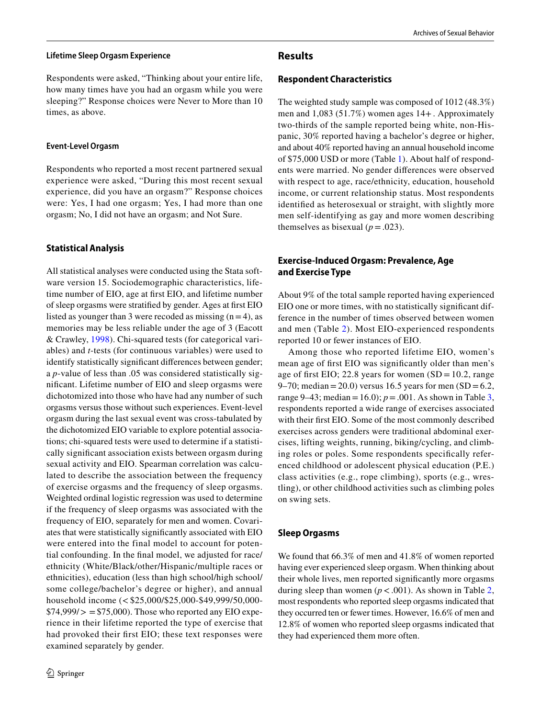#### **Lifetime Sleep Orgasm Experience**

Respondents were asked, "Thinking about your entire life, how many times have you had an orgasm while you were sleeping?" Response choices were Never to More than 10 times, as above.

### **Event‑Level Orgasm**

Respondents who reported a most recent partnered sexual experience were asked, "During this most recent sexual experience, did you have an orgasm?" Response choices were: Yes, I had one orgasm; Yes, I had more than one orgasm; No, I did not have an orgasm; and Not Sure.

# **Statistical Analysis**

All statistical analyses were conducted using the Stata software version 15. Sociodemographic characteristics, lifetime number of EIO, age at first EIO, and lifetime number of sleep orgasms were stratified by gender. Ages at first EIO listed as younger than 3 were recoded as missing  $(n=4)$ , as memories may be less reliable under the age of 3 (Eacott & Crawley, [1998\)](#page-8-6). Chi-squared tests (for categorical variables) and *t*-tests (for continuous variables) were used to identify statistically significant differences between gender; a *p*-value of less than .05 was considered statistically significant. Lifetime number of EIO and sleep orgasms were dichotomized into those who have had any number of such orgasms versus those without such experiences. Event-level orgasm during the last sexual event was cross-tabulated by the dichotomized EIO variable to explore potential associations; chi-squared tests were used to determine if a statistically significant association exists between orgasm during sexual activity and EIO. Spearman correlation was calculated to describe the association between the frequency of exercise orgasms and the frequency of sleep orgasms. Weighted ordinal logistic regression was used to determine if the frequency of sleep orgasms was associated with the frequency of EIO, separately for men and women. Covariates that were statistically significantly associated with EIO were entered into the final model to account for potential confounding. In the final model, we adjusted for race/ ethnicity (White/Black/other/Hispanic/multiple races or ethnicities), education (less than high school/high school/ some college/bachelor's degree or higher), and annual household income (< \$25,000/\$25,000-\$49,999/50,000-  $$74,999/ \ge $75,000$ . Those who reported any EIO experience in their lifetime reported the type of exercise that had provoked their first EIO; these text responses were examined separately by gender.

## **Results**

### **Respondent Characteristics**

The weighted study sample was composed of 1012 (48.3%) men and 1,083 (51.7%) women ages 14+ . Approximately two-thirds of the sample reported being white, non-Hispanic, 30% reported having a bachelor's degree or higher, and about 40% reported having an annual household income of \$75,000 USD or more (Table [1](#page-4-0)). About half of respondents were married. No gender differences were observed with respect to age, race/ethnicity, education, household income, or current relationship status. Most respondents identified as heterosexual or straight, with slightly more men self-identifying as gay and more women describing themselves as bisexual  $(p=.023)$ .

# **Exercise‑Induced Orgasm: Prevalence, Age and Exercise Type**

About 9% of the total sample reported having experienced EIO one or more times, with no statistically significant difference in the number of times observed between women and men (Table [2\)](#page-5-0). Most EIO-experienced respondents reported 10 or fewer instances of EIO.

Among those who reported lifetime EIO, women's mean age of first EIO was significantly older than men's age of first EIO; 22.8 years for women  $SD = 10.2$ , range 9–70; median = 20.0) versus 16.5 years for men  $SD = 6.2$ , range 9–43; median = 16.0);  $p = .001$ . As shown in Table [3,](#page-6-0) respondents reported a wide range of exercises associated with their first EIO. Some of the most commonly described exercises across genders were traditional abdominal exercises, lifting weights, running, biking/cycling, and climbing roles or poles. Some respondents specifically referenced childhood or adolescent physical education (P.E.) class activities (e.g., rope climbing), sports (e.g., wrestling), or other childhood activities such as climbing poles on swing sets.

# **Sleep Orgasms**

We found that 66.3% of men and 41.8% of women reported having ever experienced sleep orgasm. When thinking about their whole lives, men reported significantly more orgasms during sleep than women  $(p < .001)$ . As shown in Table [2,](#page-5-0) most respondents who reported sleep orgasms indicated that they occurred ten or fewer times. However, 16.6% of men and 12.8% of women who reported sleep orgasms indicated that they had experienced them more often.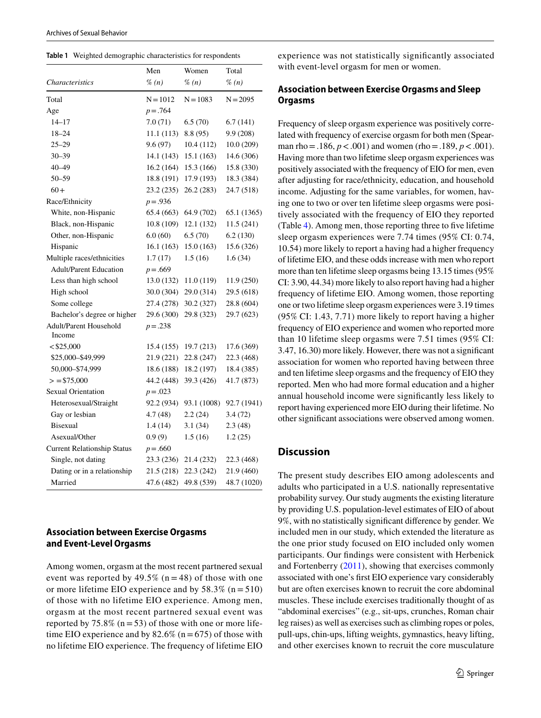<span id="page-4-0"></span>

|  |  |  |  | Table 1 Weighted demographic characteristics for respondents |
|--|--|--|--|--------------------------------------------------------------|
|--|--|--|--|--------------------------------------------------------------|

|                                    | Men        | Women       | Total       |
|------------------------------------|------------|-------------|-------------|
| <b>Characteristics</b>             | $\%$ (n)   | % (n)       | % (n)       |
| Total                              | $N = 1012$ | $N = 1083$  | $N = 2095$  |
| Age                                | $p = .764$ |             |             |
| 14–17                              | 7.0(71)    | 6.5(70)     | 6.7 (141)   |
| $18 - 24$                          | 11.1(113)  | 8.8(95)     | 9.9(208)    |
| $25 - 29$                          | 9.6(97)    | 10.4 (112)  | 10.0 (209)  |
| $30 - 39$                          | 14.1 (143) | 15.1 (163)  | 14.6 (306)  |
| 40-49                              | 16.2(164)  | 15.3 (166)  | 15.8 (330)  |
| $50 - 59$                          | 18.8 (191) | 17.9 (193)  | 18.3 (384)  |
| $60+$                              | 23.2(235)  | 26.2(283)   | 24.7 (518)  |
| Race/Ethnicity                     | $p = .936$ |             |             |
| White, non-Hispanic                | 65.4 (663) | 64.9 (702)  | 65.1 (1365) |
| Black, non-Hispanic                | 10.8 (109) | 12.1 (132)  | 11.5 (241)  |
| Other, non-Hispanic                | 6.0(60)    | 6.5(70)     | 6.2(130)    |
| Hispanic                           | 16.1(163)  | 15.0 (163)  | 15.6 (326)  |
| Multiple races/ethnicities         | 1.7(17)    | 1.5(16)     | 1.6(34)     |
| <b>Adult/Parent Education</b>      | $p = .669$ |             |             |
| Less than high school              | 13.0 (132) | 11.0(119)   | 11.9 (250)  |
| High school                        | 30.0 (304) | 29.0 (314)  | 29.5 (618)  |
| Some college                       | 27.4 (278) | 30.2 (327)  | 28.8 (604)  |
| Bachelor's degree or higher        | 29.6 (300) | 29.8 (323)  | 29.7 (623)  |
| Adult/Parent Household             | $p = .238$ |             |             |
| Income                             |            |             |             |
| $<$ \$25,000                       | 15.4(155)  | 19.7 (213)  | 17.6 (369)  |
| \$25,000-\$49,999                  | 21.9 (221) | 22.8 (247)  | 22.3 (468)  |
| 50,000-\$74,999                    | 18.6 (188) | 18.2 (197)  | 18.4 (385)  |
| $>$ = \$75,000                     | 44.2 (448) | 39.3 (426)  | 41.7 (873)  |
| <b>Sexual Orientation</b>          | $p = .023$ |             |             |
| Heterosexual/Straight              | 92.2 (934) | 93.1 (1008) | 92.7 (1941) |
| Gay or lesbian                     | 4.7(48)    | 2.2(24)     | 3.4(72)     |
| <b>Bisexual</b>                    | 1.4(14)    | 3.1(34)     | 2.3(48)     |
| Asexual/Other                      | 0.9(9)     | 1.5(16)     | 1.2(25)     |
| <b>Current Relationship Status</b> | $p = .660$ |             |             |
| Single, not dating                 | 23.3 (236) | 21.4 (232)  | 22.3 (468)  |
| Dating or in a relationship        | 21.5 (218) | 22.3 (242)  | 21.9 (460)  |
| Married                            | 47.6 (482) | 49.8 (539)  | 48.7 (1020) |

### **Association between Exercise Orgasms and Event‑Level Orgasms**

Among women, orgasm at the most recent partnered sexual event was reported by 49.5%  $(n = 48)$  of those with one or more lifetime EIO experience and by  $58.3\%$  (n =  $510$ ) of those with no lifetime EIO experience. Among men, orgasm at the most recent partnered sexual event was reported by 75.8% ( $n = 53$ ) of those with one or more lifetime EIO experience and by  $82.6\%$  (n = 675) of those with no lifetime EIO experience. The frequency of lifetime EIO experience was not statistically significantly associated with event-level orgasm for men or women.

## **Association between Exercise Orgasms and Sleep Orgasms**

Frequency of sleep orgasm experience was positively correlated with frequency of exercise orgasm for both men (Spearman rho =  $.186, p < .001$ ) and women (rho =  $.189, p < .001$ ). Having more than two lifetime sleep orgasm experiences was positively associated with the frequency of EIO for men, even after adjusting for race/ethnicity, education, and household income. Adjusting for the same variables, for women, having one to two or over ten lifetime sleep orgasms were positively associated with the frequency of EIO they reported (Table [4](#page-7-0)). Among men, those reporting three to five lifetime sleep orgasm experiences were 7.74 times (95% CI: 0.74, 10.54) more likely to report a having had a higher frequency of lifetime EIO, and these odds increase with men who report more than ten lifetime sleep orgasms being 13.15 times (95% CI: 3.90, 44.34) more likely to also report having had a higher frequency of lifetime EIO. Among women, those reporting one or two lifetime sleep orgasm experiences were 3.19 times (95% CI: 1.43, 7.71) more likely to report having a higher frequency of EIO experience and women who reported more than 10 lifetime sleep orgasms were 7.51 times (95% CI: 3.47, 16.30) more likely. However, there was not a significant association for women who reported having between three and ten lifetime sleep orgasms and the frequency of EIO they reported. Men who had more formal education and a higher annual household income were significantly less likely to report having experienced more EIO during their lifetime. No other significant associations were observed among women.

# **Discussion**

The present study describes EIO among adolescents and adults who participated in a U.S. nationally representative probability survey. Our study augments the existing literature by providing U.S. population-level estimates of EIO of about 9%, with no statistically significant difference by gender. We included men in our study, which extended the literature as the one prior study focused on EIO included only women participants. Our findings were consistent with Herbenick and Fortenberry ([2011](#page-9-4)), showing that exercises commonly associated with one's first EIO experience vary considerably but are often exercises known to recruit the core abdominal muscles. These include exercises traditionally thought of as "abdominal exercises" (e.g., sit-ups, crunches, Roman chair leg raises) as well as exercises such as climbing ropes or poles, pull-ups, chin-ups, lifting weights, gymnastics, heavy lifting, and other exercises known to recruit the core musculature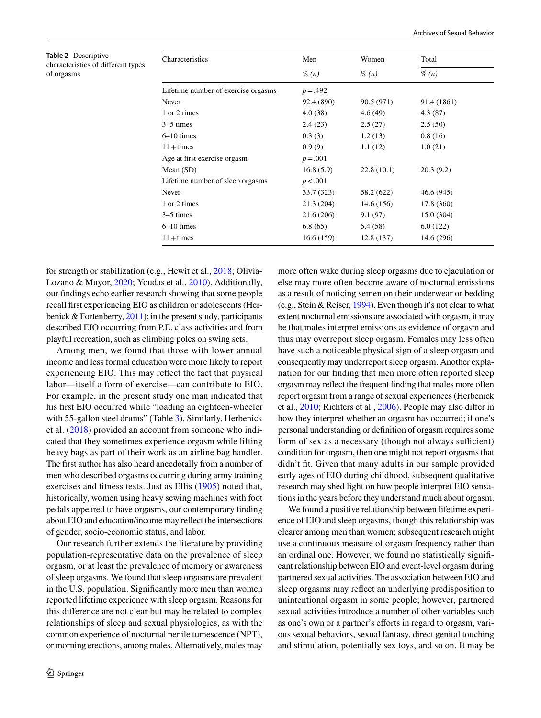| Characteristics                     | Men        | Women      | Total       |  |
|-------------------------------------|------------|------------|-------------|--|
|                                     | $\%$ (n)   | $\%$ (n)   | $\%$ (n)    |  |
| Lifetime number of exercise orgasms | $p = .492$ |            |             |  |
| Never                               | 92.4 (890) | 90.5 (971) | 91.4 (1861) |  |
| 1 or 2 times                        | 4.0 (38)   | 4.6(49)    | 4.3(87)     |  |
| $3-5$ times                         | 2.4(23)    | 2.5(27)    | 2.5(50)     |  |
| $6-10$ times                        | 0.3(3)     | 1.2(13)    | 0.8(16)     |  |
| $11 + times$                        | 0.9(9)     | 1.1(12)    | 1.0(21)     |  |
| Age at first exercise orgasm        | $p = .001$ |            |             |  |
| Mean $(SD)$                         | 16.8(5.9)  | 22.8(10.1) | 20.3(9.2)   |  |
| Lifetime number of sleep orgasms    | p < .001   |            |             |  |
| Never                               | 33.7 (323) | 58.2 (622) | 46.6 (945)  |  |
| 1 or 2 times                        | 21.3 (204) | 14.6(156)  | 17.8 (360)  |  |
| $3-5$ times                         | 21.6 (206) | 9.1(97)    | 15.0(304)   |  |
| $6-10$ times                        | 6.8(65)    | 5.4 (58)   | 6.0(122)    |  |
| $11 + times$                        | 16.6(159)  | 12.8(137)  | 14.6 (296)  |  |

<span id="page-5-0"></span>**Table 2** Descriptive characteristics of different ty of orgasms

for strength or stabilization (e.g., Hewit et al., [2018;](#page-9-26) Olivia-Lozano & Muyor, [2020;](#page-9-8) Youdas et al., [2010](#page-9-27)). Additionally, our findings echo earlier research showing that some people recall first experiencing EIO as children or adolescents (Herbenick & Fortenberry, [2011](#page-9-4)); in the present study, participants described EIO occurring from P.E. class activities and from playful recreation, such as climbing poles on swing sets.

Among men, we found that those with lower annual income and less formal education were more likely to report experiencing EIO. This may reflect the fact that physical labor—itself a form of exercise—can contribute to EIO. For example, in the present study one man indicated that his first EIO occurred while "loading an eighteen-wheeler with 55-gallon steel drums" (Table [3\)](#page-6-0). Similarly, Herbenick et al. ([2018](#page-9-0)) provided an account from someone who indicated that they sometimes experience orgasm while lifting heavy bags as part of their work as an airline bag handler. The first author has also heard anecdotally from a number of men who described orgasms occurring during army training exercises and fitness tests. Just as Ellis ([1905\)](#page-8-0) noted that, historically, women using heavy sewing machines with foot pedals appeared to have orgasms, our contemporary finding about EIO and education/income may reflect the intersections of gender, socio-economic status, and labor.

Our research further extends the literature by providing population-representative data on the prevalence of sleep orgasm, or at least the prevalence of memory or awareness of sleep orgasms. We found that sleep orgasms are prevalent in the U.S. population. Significantly more men than women reported lifetime experience with sleep orgasm. Reasons for this difference are not clear but may be related to complex relationships of sleep and sexual physiologies, as with the common experience of nocturnal penile tumescence (NPT), or morning erections, among males. Alternatively, males may

more often wake during sleep orgasms due to ejaculation or else may more often become aware of nocturnal emissions as a result of noticing semen on their underwear or bedding (e.g., Stein & Reiser, [1994](#page-9-28)). Even though it's not clear to what extent nocturnal emissions are associated with orgasm, it may be that males interpret emissions as evidence of orgasm and thus may overreport sleep orgasm. Females may less often have such a noticeable physical sign of a sleep orgasm and consequently may underreport sleep orgasm. Another explanation for our finding that men more often reported sleep orgasm may reflect the frequent finding that males more often report orgasm from a range of sexual experiences (Herbenick et al., [2010;](#page-9-22) Richters et al., [2006](#page-9-29)). People may also differ in how they interpret whether an orgasm has occurred; if one's personal understanding or definition of orgasm requires some form of sex as a necessary (though not always sufficient) condition for orgasm, then one might not report orgasms that didn't fit. Given that many adults in our sample provided early ages of EIO during childhood, subsequent qualitative research may shed light on how people interpret EIO sensations in the years before they understand much about orgasm.

We found a positive relationship between lifetime experience of EIO and sleep orgasms, though this relationship was clearer among men than women; subsequent research might use a continuous measure of orgasm frequency rather than an ordinal one. However, we found no statistically significant relationship between EIO and event-level orgasm during partnered sexual activities. The association between EIO and sleep orgasms may reflect an underlying predisposition to unintentional orgasm in some people; however, partnered sexual activities introduce a number of other variables such as one's own or a partner's efforts in regard to orgasm, various sexual behaviors, sexual fantasy, direct genital touching and stimulation, potentially sex toys, and so on. It may be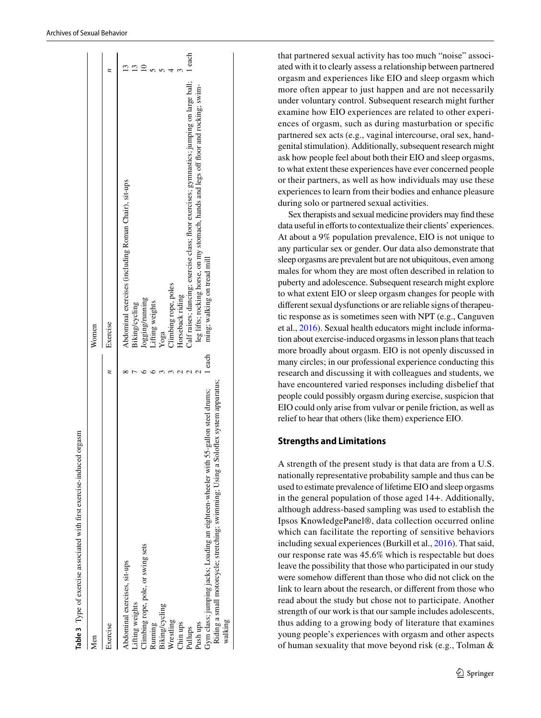| Vien                                                                                |      | Women                                                                                     |        |
|-------------------------------------------------------------------------------------|------|-------------------------------------------------------------------------------------------|--------|
| ixercise                                                                            |      | Exercise                                                                                  |        |
| Abdominal exercises, sit-ups                                                        |      | Abdominal exercises (including Roman Chair), sit-ups                                      |        |
| liting weights.                                                                     |      | 3iking/cycling                                                                            |        |
| limbing rope, pole, or swing sets                                                   |      | logging/running                                                                           |        |
| Running                                                                             |      | Lifting weights                                                                           |        |
| 3iking/cycling                                                                      |      | Yoga                                                                                      |        |
| Wrestling                                                                           |      | limbing rope, poles                                                                       |        |
| Chin ups                                                                            |      | Horseback riding                                                                          |        |
| Pullups                                                                             |      | Calf raises; dancing; exercise class; floor exercises; gymnastics; jumping on large ball; | l each |
| Push ups                                                                            |      | leg lifts; rocking horse, on my stomach, hands and legs off floor and rocking; swim-      |        |
| Gym class; jumping jacks; Loading an eighteen-wheeler with 55-gallon steel drums;   | each | ming; walking on tread mill                                                               |        |
| Riding a small motorcycle; stretching; swimming; Using a Soloflex system apparatus; |      |                                                                                           |        |
| walking                                                                             |      |                                                                                           |        |

that partnered sexual activity has too much "noise" associated with it to clearly assess a relationship between partnered orgasm and experiences like EIO and sleep orgasm which more often appear to just happen and are not necessarily under voluntary control. Subsequent research might further examine how EIO experiences are related to other experiences of orgasm, such as during masturbation or specific partnered sex acts (e.g., vaginal intercourse, oral sex, handgenital stimulation). Additionally, subsequent research might ask how people feel about both their EIO and sleep orgasms, to what extent these experiences have ever concerned people or their partners, as well as how individuals may use these experiences to learn from their bodies and enhance pleasure during solo or partnered sexual activities.

Sex therapists and sexual medicine providers may find these data useful in efforts to contextualize their clients' experiences. At about a 9% population prevalence, EIO is not unique to any particular sex or gender. Our data also demonstrate that sleep orgasms are prevalent but are not ubiquitous, even among males for whom they are most often described in relation to puberty and adolescence. Subsequent research might explore to what extent EIO or sleep orgasm changes for people with different sexual dysfunctions or are reliable signs of therapeutic response as is sometimes seen with NPT (e.g., Canguven et al., [2016](#page-8-7)). Sexual health educators might include information about exercise-induced orgasms in lesson plans that teach more broadly about orgasm. EIO is not openly discussed in many circles; in our professional experience conducting this research and discussing it with colleagues and students, we have encountered varied responses including disbelief that people could possibly orgasm during exercise, suspicion that EIO could only arise from vulvar or penile friction, as well as relief to hear that others (like them) experience EIO.

# **Strengths and Limitations**

<span id="page-6-0"></span>A strength of the present study is that data are from a U.S. nationally representative probability sample and thus can be used to estimate prevalence of lifetime EIO and sleep orgasms in the general population of those aged 14+. Additionally, although address-based sampling was used to establish the Ipsos KnowledgePanel®, data collection occurred online which can facilitate the reporting of sensitive behaviors including sexual experiences (Burkill et al., [2016\)](#page-8-8). That said, our response rate was 45.6% which is respectable but does leave the possibility that those who participated in our study were somehow different than those who did not click on the link to learn about the research, or different from those who read about the study but chose not to participate. Another strength of our work is that our sample includes adolescents, thus adding to a growing body of literature that examines young people's experiences with orgasm and other aspects of human sexuality that move beyond risk (e.g., Tolman &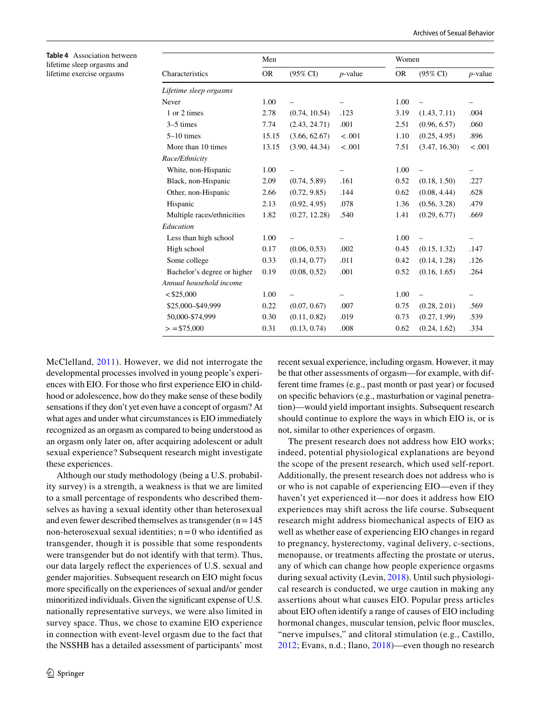<span id="page-7-0"></span>**Table 4** Association between lifetime sleep orgasms and lifetime exercise orgasms

|                             | Men       |                     |            | Women     |                     |            |
|-----------------------------|-----------|---------------------|------------|-----------|---------------------|------------|
| Characteristics             | <b>OR</b> | $(95\% \text{ CI})$ | $p$ -value | <b>OR</b> | $(95\% \text{ CI})$ | $p$ -value |
| Lifetime sleep orgasms      |           |                     |            |           |                     |            |
| Never                       | 1.00      |                     | -          | 1.00      |                     |            |
| 1 or 2 times                | 2.78      | (0.74, 10.54)       | .123       | 3.19      | (1.43, 7.11)        | .004       |
| $3-5$ times                 | 7.74      | (2.43, 24.71)       | .001       | 2.51      | (0.96, 6.57)        | .060       |
| $5-10$ times                | 15.15     | (3.66, 62.67)       | < .001     | 1.10      | (0.25, 4.95)        | .896       |
| More than 10 times          | 13.15     | (3.90, 44.34)       | < .001     | 7.51      | (3.47, 16.30)       | < .001     |
| Race/Ethnicity              |           |                     |            |           |                     |            |
| White, non-Hispanic         | 1.00      |                     |            | 1.00      |                     |            |
| Black, non-Hispanic         | 2.09      | (0.74, 5.89)        | .161       | 0.52      | (0.18, 1.50)        | .227       |
| Other, non-Hispanic         | 2.66      | (0.72, 9.85)        | .144       | 0.62      | (0.08, 4.44)        | .628       |
| Hispanic                    | 2.13      | (0.92, 4.95)        | .078       | 1.36      | (0.56, 3.28)        | .479       |
| Multiple races/ethnicities  | 1.82      | (0.27, 12.28)       | .540       | 1.41      | (0.29, 6.77)        | .669       |
| Education                   |           |                     |            |           |                     |            |
| Less than high school       | 1.00      |                     |            | 1.00      |                     |            |
| High school                 | 0.17      | (0.06, 0.53)        | .002       | 0.45      | (0.15, 1.32)        | .147       |
| Some college                | 0.33      | (0.14, 0.77)        | .011       | 0.42      | (0.14, 1.28)        | .126       |
| Bachelor's degree or higher | 0.19      | (0.08, 0.52)        | .001       | 0.52      | (0.16, 1.65)        | .264       |
| Annual household income     |           |                     |            |           |                     |            |
| $<$ \$25,000                | 1.00      |                     |            | 1.00      |                     |            |
| \$25,000-\$49,999           | 0.22      | (0.07, 0.67)        | .007       | 0.75      | (0.28, 2.01)        | .569       |
| 50,000-\$74,999             | 0.30      | (0.11, 0.82)        | .019       | 0.73      | (0.27, 1.99)        | .539       |
| $>$ = \$75,000              | 0.31      | (0.13, 0.74)        | .008       | 0.62      | (0.24, 1.62)        | .334       |

McClelland, [2011\)](#page-9-30). However, we did not interrogate the developmental processes involved in young people's experiences with EIO. For those who first experience EIO in childhood or adolescence, how do they make sense of these bodily sensations if they don't yet even have a concept of orgasm? At what ages and under what circumstances is EIO immediately recognized as an orgasm as compared to being understood as an orgasm only later on, after acquiring adolescent or adult sexual experience? Subsequent research might investigate these experiences.

Although our study methodology (being a U.S. probability survey) is a strength, a weakness is that we are limited to a small percentage of respondents who described themselves as having a sexual identity other than heterosexual and even fewer described themselves as transgender  $(n = 145)$ non-heterosexual sexual identities;  $n = 0$  who identified as transgender, though it is possible that some respondents were transgender but do not identify with that term). Thus, our data largely reflect the experiences of U.S. sexual and gender majorities. Subsequent research on EIO might focus more specifically on the experiences of sexual and/or gender minoritized individuals. Given the significant expense of U.S. nationally representative surveys, we were also limited in survey space. Thus, we chose to examine EIO experience in connection with event-level orgasm due to the fact that the NSSHB has a detailed assessment of participants' most recent sexual experience, including orgasm. However, it may be that other assessments of orgasm—for example, with different time frames (e.g., past month or past year) or focused on specific behaviors (e.g., masturbation or vaginal penetration)—would yield important insights. Subsequent research should continue to explore the ways in which EIO is, or is not, similar to other experiences of orgasm.

The present research does not address how EIO works; indeed, potential physiological explanations are beyond the scope of the present research, which used self-report. Additionally, the present research does not address who is or who is not capable of experiencing EIO—even if they haven't yet experienced it—nor does it address how EIO experiences may shift across the life course. Subsequent research might address biomechanical aspects of EIO as well as whether ease of experiencing EIO changes in regard to pregnancy, hysterectomy, vaginal delivery, c-sections, menopause, or treatments affecting the prostate or uterus, any of which can change how people experience orgasms during sexual activity (Levin, [2018](#page-9-31)). Until such physiological research is conducted, we urge caution in making any assertions about what causes EIO. Popular press articles about EIO often identify a range of causes of EIO including hormonal changes, muscular tension, pelvic floor muscles, "nerve impulses," and clitoral stimulation (e.g., Castillo, [2012;](#page-8-9) Evans, n.d.; Ilano, [2018\)](#page-9-32)—even though no research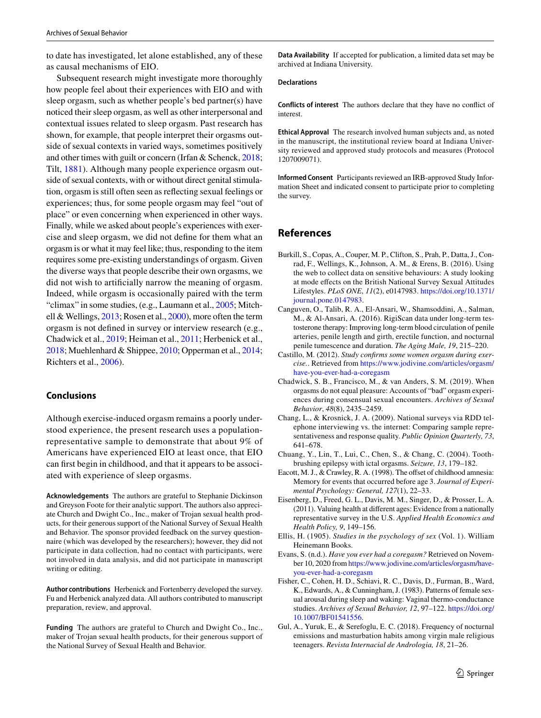to date has investigated, let alone established, any of these as causal mechanisms of EIO.

Subsequent research might investigate more thoroughly how people feel about their experiences with EIO and with sleep orgasm, such as whether people's bed partner(s) have noticed their sleep orgasm, as well as other interpersonal and contextual issues related to sleep orgasm. Past research has shown, for example, that people interpret their orgasms outside of sexual contexts in varied ways, sometimes positively and other times with guilt or concern (Irfan & Schenck, [2018](#page-9-33); Tilt, [1881\)](#page-9-10). Although many people experience orgasm outside of sexual contexts, with or without direct genital stimulation, orgasm is still often seen as reflecting sexual feelings or experiences; thus, for some people orgasm may feel "out of place" or even concerning when experienced in other ways. Finally, while we asked about people's experiences with exercise and sleep orgasm, we did not define for them what an orgasm is or what it may feel like; thus, responding to the item requires some pre-existing understandings of orgasm. Given the diverse ways that people describe their own orgasms, we did not wish to artificially narrow the meaning of orgasm. Indeed, while orgasm is occasionally paired with the term "climax" in some studies, (e.g., Laumann et al., [2005;](#page-9-34) Mitchell & Wellings, [2013](#page-9-35); Rosen et al., [2000\)](#page-9-36), more often the term orgasm is not defined in survey or interview research (e.g., Chadwick et al., [2019](#page-8-10); Heiman et al., [2011](#page-9-37); Herbenick et al., [2018;](#page-9-0) Muehlenhard & Shippee, [2010](#page-9-38); Opperman et al., [2014](#page-9-39); Richters et al., [2006\)](#page-9-29).

# **Conclusions**

Although exercise-induced orgasm remains a poorly understood experience, the present research uses a populationrepresentative sample to demonstrate that about 9% of Americans have experienced EIO at least once, that EIO can first begin in childhood, and that it appears to be associated with experience of sleep orgasms.

**Acknowledgements** The authors are grateful to Stephanie Dickinson and Greyson Foote for their analytic support. The authors also appreciate Church and Dwight Co., Inc., maker of Trojan sexual health products, for their generous support of the National Survey of Sexual Health and Behavior. The sponsor provided feedback on the survey questionnaire (which was developed by the researchers); however, they did not participate in data collection, had no contact with participants, were not involved in data analysis, and did not participate in manuscript writing or editing.

**Author contributions** Herbenick and Fortenberry developed the survey. Fu and Herbenick analyzed data. All authors contributed to manuscript preparation, review, and approval.

**Funding** The authors are grateful to Church and Dwight Co., Inc., maker of Trojan sexual health products, for their generous support of the National Survey of Sexual Health and Behavior.

**Data Availability** If accepted for publication, a limited data set may be archived at Indiana University.

#### **Declarations**

**Conflicts of interest** The authors declare that they have no conflict of interest.

**Ethical Approval** The research involved human subjects and, as noted in the manuscript, the institutional review board at Indiana University reviewed and approved study protocols and measures (Protocol 1207009071).

**Informed Consent** Participants reviewed an IRB-approved Study Information Sheet and indicated consent to participate prior to completing the survey.

### **References**

- <span id="page-8-8"></span>Burkill, S., Copas, A., Couper, M. P., Clifton, S., Prah, P., Datta, J., Conrad, F., Wellings, K., Johnson, A. M., & Erens, B. (2016). Using the web to collect data on sensitive behaviours: A study looking at mode effects on the British National Survey Sexual Attitudes Lifestyles. *PLoS ONE*, *11*(2), e0147983. [https:// doi. org/ 10. 1371/](https://doi.org/10.1371/journal.pone.0147983) iournal.pone.0147983.
- <span id="page-8-7"></span>Canguven, O., Talib, R. A., El-Ansari, W., Shamsoddini, A., Salman, M., & Al-Ansari, A. (2016). RigiScan data under long-term testosterone therapy: Improving long-term blood circulation of penile arteries, penile length and girth, erectile function, and nocturnal penile tumescence and duration. *The Aging Male, 19*, 215–220.
- <span id="page-8-9"></span>Castillo, M. (2012). *Study confirms some women orgasm during exercise.*. Retrieved from https://www.jodivine.com/articles/orgasm/ have-you-ever-had-a-coregasm
- <span id="page-8-10"></span>Chadwick, S. B., Francisco, M., & van Anders, S. M. (2019). When orgasms do not equal pleasure: Accounts of "bad" orgasm experiences during consensual sexual encounters. *Archives of Sexual Behavior*, *48*(8), 2435–2459.
- <span id="page-8-4"></span>Chang, L., & Krosnick, J. A. (2009). National surveys via RDD telephone interviewing vs. the internet: Comparing sample representativeness and response quality. *Public Opinion Quarterly, 73*, 641–678.
- <span id="page-8-1"></span>Chuang, Y., Lin, T., Lui, C., Chen, S., & Chang, C. (2004). Toothbrushing epilepsy with ictal orgasms. *Seizure, 13*, 179–182.
- <span id="page-8-6"></span>Eacott, M. J., & Crawley, R. A. (1998). The offset of childhood amnesia: Memory for events that occurred before age 3. *Journal of Experimental Psychology: General, 127*(1), 22–33.
- <span id="page-8-5"></span>Eisenberg, D., Freed, G. L., Davis, M. M., Singer, D., & Prosser, L. A. (2011). Valuing health at different ages: Evidence from a nationally representative survey in the U.S. *Applied Health Economics and Health Policy, 9*, 149–156.
- <span id="page-8-0"></span>Ellis, H. (1905). *Studies in the psychology of sex* (Vol. 1). William Heinemann Books.
- Evans, S. (n.d.). *Have you ever had a coregasm?* Retrieved on November 10, 2020 from https://www.jodivine.com/articles/orgasm/haveyou-ever-had-a-coregasm
- <span id="page-8-3"></span>Fisher, C., Cohen, H. D., Schiavi, R. C., Davis, D., Furman, B., Ward, K., Edwards, A., & Cunningham, J. (1983). Patterns of female sexual arousal during sleep and waking: Vaginal thermo-conductance studies. Archives of Sexual Behavior, 12, 97-122. https://doi.org/ 10.1007/BF01541556.
- <span id="page-8-2"></span>Gul, A., Yuruk, E., & Serefoglu, E. C. (2018). Frequency of nocturnal emissions and masturbation habits among virgin male religious teenagers. *Revista Internacial de Andrologia, 18*, 21–26.